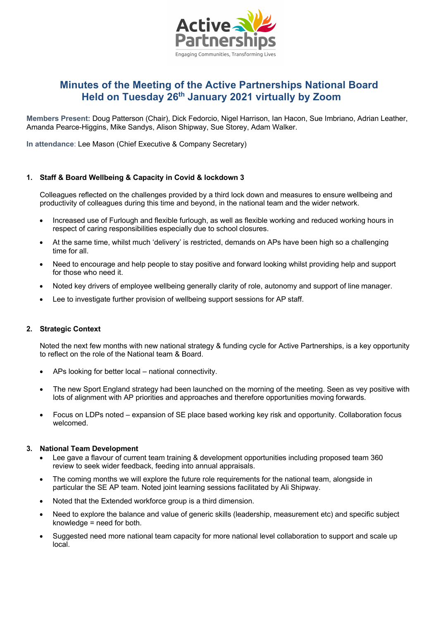

# **Minutes of the Meeting of the Active Partnerships National Board Held on Tuesday 26th January 2021 virtually by Zoom**

**Members Present:** Doug Patterson (Chair), Dick Fedorcio, Nigel Harrison, Ian Hacon, Sue Imbriano, Adrian Leather, Amanda Pearce-Higgins, Mike Sandys, Alison Shipway, Sue Storey, Adam Walker.

**In attendance**: Lee Mason (Chief Executive & Company Secretary)

## **1. Staff & Board Wellbeing & Capacity in Covid & lockdown 3**

Colleagues reflected on the challenges provided by a third lock down and measures to ensure wellbeing and productivity of colleagues during this time and beyond, in the national team and the wider network.

- Increased use of Furlough and flexible furlough, as well as flexible working and reduced working hours in respect of caring responsibilities especially due to school closures.
- At the same time, whilst much 'delivery' is restricted, demands on APs have been high so a challenging time for all.
- Need to encourage and help people to stay positive and forward looking whilst providing help and support for those who need it.
- Noted key drivers of employee wellbeing generally clarity of role, autonomy and support of line manager.
- Lee to investigate further provision of wellbeing support sessions for AP staff.

## **2. Strategic Context**

Noted the next few months with new national strategy & funding cycle for Active Partnerships, is a key opportunity to reflect on the role of the National team & Board.

- APs looking for better local national connectivity.
- The new Sport England strategy had been launched on the morning of the meeting. Seen as vey positive with lots of alignment with AP priorities and approaches and therefore opportunities moving forwards.
- Focus on LDPs noted expansion of SE place based working key risk and opportunity. Collaboration focus welcomed.

#### **3. National Team Development**

- Lee gave a flavour of current team training & development opportunities including proposed team 360 review to seek wider feedback, feeding into annual appraisals.
- The coming months we will explore the future role requirements for the national team, alongside in particular the SE AP team. Noted joint learning sessions facilitated by Ali Shipway.
- Noted that the Extended workforce group is a third dimension.
- Need to explore the balance and value of generic skills (leadership, measurement etc) and specific subject knowledge = need for both.
- Suggested need more national team capacity for more national level collaboration to support and scale up local.